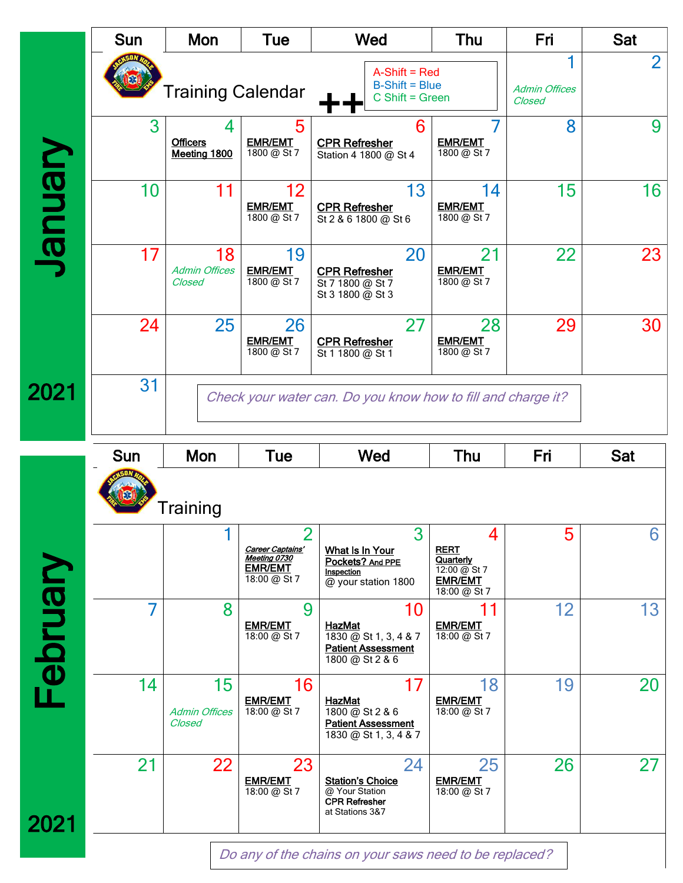|                             | <b>Sun</b> | Mon                                  | Tue                                                                                  | Wed                                                                                          | Thu                                                                             | Fri                            | Sat            |
|-----------------------------|------------|--------------------------------------|--------------------------------------------------------------------------------------|----------------------------------------------------------------------------------------------|---------------------------------------------------------------------------------|--------------------------------|----------------|
|                             |            | <b>Training Calendar</b>             |                                                                                      | $A-Shift = Red$<br>$B$ -Shift = Blue<br>$C$ Shift = Green                                    |                                                                                 | <b>Admin Offices</b><br>Closed | $\overline{2}$ |
|                             | 3          | <b>Officers</b><br>Meeting 1800      | 5<br><b>EMR/EMT</b><br>$\frac{1800}{20}$ & St 7                                      | 6<br><b>CPR Refresher</b><br>Station 4 1800 @ St 4                                           | <b>EMR/EMT</b><br>$1800 \omega$ St 7                                            | 8                              | 9              |
| <b><i><u>Uenuer</u></i></b> | 10         |                                      | 12<br><b>EMR/EMT</b><br>1800 @ St 7                                                  | 13<br><b>CPR Refresher</b><br>St 2 & 6 1800 @ St 6                                           | 14<br><b>EMR/EMT</b><br>1800 @ St 7                                             | 15                             | 16             |
|                             | 17         | 18<br><b>Admin Offices</b><br>Closed | 19<br><b>EMR/EMT</b><br>1800 @ St 7                                                  | 20<br><b>CPR Refresher</b><br>St 7 1800 @ St 7<br>St 3 1800 @ St 3                           | 21<br><b>EMR/EMT</b><br>1800 @ St 7                                             | 22                             | 23             |
|                             | 24         | 25                                   | 26<br><b>EMR/EMT</b><br>1800 @ St 7                                                  | 27<br><b>CPR Refresher</b><br>St 1 1800 @ St 1                                               | 28<br><b>EMR/EMT</b><br>1800 @ St 7                                             | 29                             | 30             |
| 2021                        | 31         |                                      |                                                                                      | Check your water can. Do you know how to fill and charge it?                                 |                                                                                 |                                |                |
|                             | <b>Sun</b> | Mon                                  | <b>Tue</b>                                                                           | Wed                                                                                          | Thu                                                                             | Fri                            | <b>Sat</b>     |
|                             |            | Training                             |                                                                                      |                                                                                              |                                                                                 |                                |                |
|                             |            |                                      |                                                                                      |                                                                                              |                                                                                 |                                |                |
|                             |            |                                      | $\overline{2}$<br>Career Captains'<br>Meeting 0730<br><b>EMR/EMT</b><br>18:00 @ St 7 | 3<br>What Is In Your<br>Pockets? And PPE<br>Inspection<br>@ your station 1800                | 4<br><b>RERT</b><br>Quarterly<br>12:00 @ St 7<br><b>EMR/EMT</b><br>18:00 @ St 7 | 5                              | 6              |
|                             | 7          | 8                                    | 9<br><b>EMR/EMT</b><br>18:00 @ St 7                                                  | 10<br><b>HazMat</b><br>1830 @ St 1, 3, 4 & 7<br><b>Patient Assessment</b><br>1800 @ St 2 & 6 | <b>EMR/EMT</b><br>18:00 @ St 7                                                  | 12                             | 13             |
| February                    | 14         | 15<br><b>Admin Offices</b><br>Closed | 16<br><b>EMR/EMT</b><br>18:00 @ St 7                                                 | 17<br><b>HazMat</b><br>1800 @ St 2 & 6<br><b>Patient Assessment</b><br>1830 @ St 1, 3, 4 & 7 | 18<br><b>EMR/EMT</b><br>18:00 @ St 7                                            | 19                             | 20             |

Do any of the chains on your saws need to be replaced?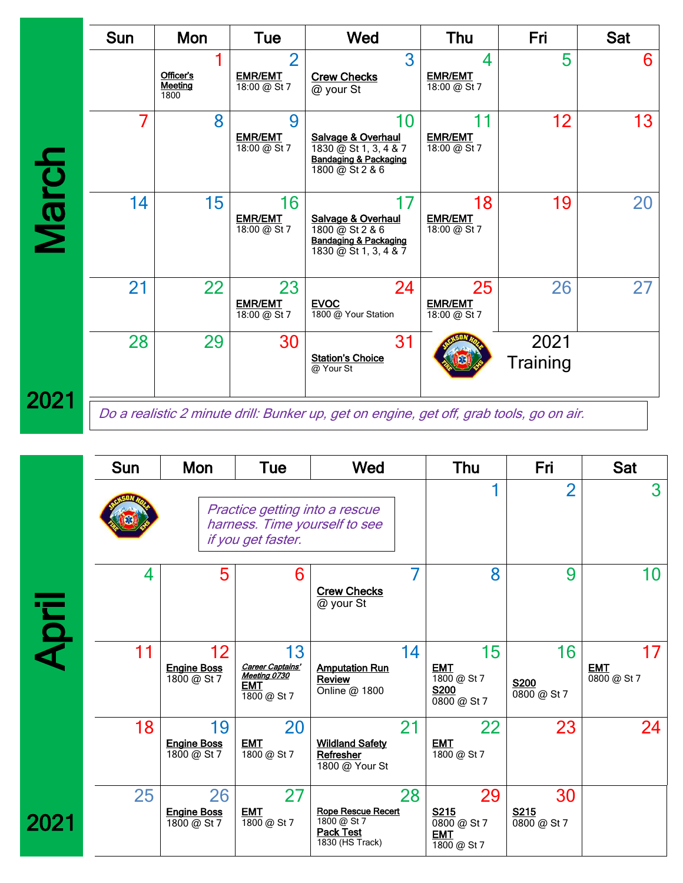|              | <b>Sun</b> | Mon                          | Tue                                              | Wed                                                                                                      | <b>Thu</b>                           | Fri              | <b>Sat</b> |
|--------------|------------|------------------------------|--------------------------------------------------|----------------------------------------------------------------------------------------------------------|--------------------------------------|------------------|------------|
|              |            | Officer's<br>Meeting<br>1800 | $\overline{2}$<br><b>EMR/EMT</b><br>18:00 @ St 7 | 3<br><b>Crew Checks</b><br>@ your St                                                                     | 4<br><b>EMR/EMT</b><br>18:00 @ St 7  | 5                | 6          |
|              |            | 8                            | 9<br><b>EMR/EMT</b><br>$18:00 (2)$ St 7          | 10<br>Salvage & Overhaul<br>1830 @ St 1, 3, 4 & 7<br><b>Bandaging &amp; Packaging</b><br>1800 @ St 2 & 6 | 11<br><b>EMR/EMT</b><br>18:00 @ St 7 | 12 <sub>2</sub>  | 13         |
| <b>March</b> | 14         | 15                           | 16<br><b>EMR/EMT</b><br>18:00 @ St 7             | 17<br>Salvage & Overhaul<br>1800 @ St 2 & 6<br><b>Bandaging &amp; Packaging</b><br>1830 @ St 1, 3, 4 & 7 | 18<br><b>EMR/EMT</b><br>18:00 @ St 7 | 19               | 20         |
|              | 21         | 22                           | 23<br><b>EMR/EMT</b><br>18:00 @ St 7             | 24<br><b>EVOC</b><br>1800 @ Your Station                                                                 | 25<br><b>EMR/EMT</b><br>18:00 @ St 7 | 26               | 27         |
|              | 28         | 29                           | 30                                               | 31<br><b>Station's Choice</b><br>@ Your St                                                               |                                      | 2021<br>Training |            |
| 2021         |            |                              |                                                  | Do a realistic 2 minute drill: Bunker up, get on engine, get off, grab tools, go on air.                 |                                      |                  |            |

202

|       | <b>Sun</b> | Mon                                                  | Tue                                                          | Wed                                                                               |    | <b>Thu</b>                                                    | Fri                                           | <b>Sat</b>                      |
|-------|------------|------------------------------------------------------|--------------------------------------------------------------|-----------------------------------------------------------------------------------|----|---------------------------------------------------------------|-----------------------------------------------|---------------------------------|
|       |            | Practice getting into a rescue<br>if you get faster. | harness. Time yourself to see                                |                                                                                   |    | $\overline{2}$                                                | 3                                             |                                 |
| April | 4          | 5                                                    | 6                                                            | <b>Crew Checks</b><br>@ your St                                                   |    | 8                                                             | 9                                             | 10                              |
|       | 11         | 12<br><b>Engine Boss</b><br>1800 @ St 7              | 13<br>Career Captains'<br>Meeting 0730<br>EMT<br>1800 @ St 7 | <b>Amputation Run</b><br>Review<br>Online @ 1800                                  | 14 | 15<br><b>EMT</b><br>$1800 \omega$ St 7<br>S200<br>0800 @ St 7 | 16<br><b>S200</b><br>$\overline{0800}$ @ St 7 | 17<br><b>EMT</b><br>0800 @ St 7 |
|       | 18         | 19<br><b>Engine Boss</b><br>$1800 \omega$ St 7       | 20<br><b>EMT</b><br>$\overline{1800}$ @ St 7                 | <b>Wildland Safety</b><br>Refresher<br>1800 @ Your St                             | 21 | 22<br><b>EMT</b><br>$1800 \omega$ St 7                        | 23                                            | 24                              |
| 2021  | 25         | 26<br><b>Engine Boss</b><br>$1800 \omega$ St 7       | 27<br><b>EMT</b><br>$\overline{1800}$ @ St 7                 | <b>Rope Rescue Recert</b><br>1800 @ St 7<br><b>Pack Test</b><br>$1830$ (HS Track) | 28 | 29<br>S215<br>0800 @ St 7<br><b>EMT</b><br>1800 @ St 7        | 30<br>S215<br>$\overline{0800}$ @ St 7        |                                 |
|       |            |                                                      |                                                              |                                                                                   |    |                                                               |                                               |                                 |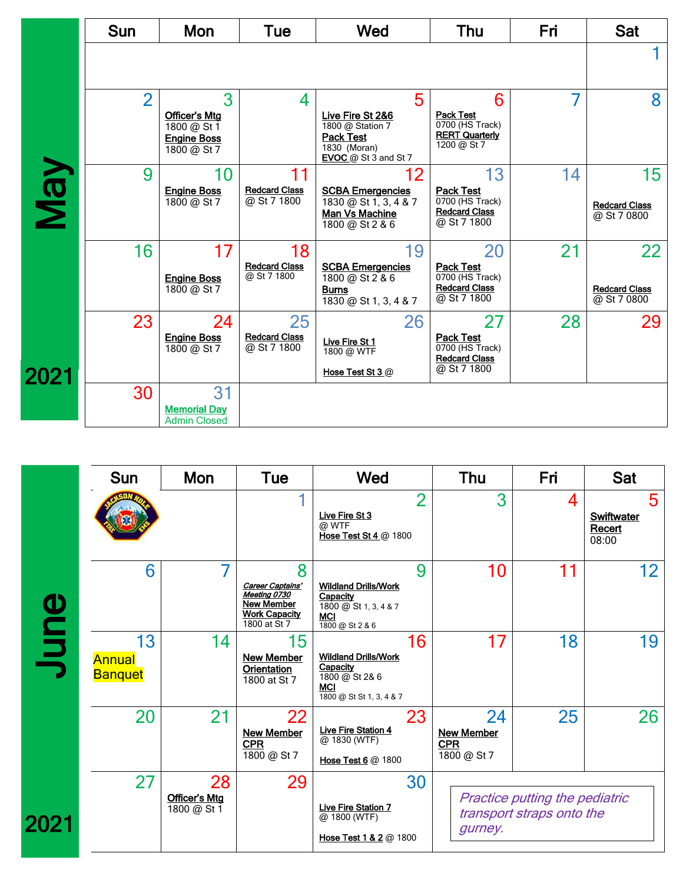|      | Sun            | Mon                                                                           | Tue                                       | Wed                                                                                                            | Thu                                                                                           | Fri | Sat                                                    |
|------|----------------|-------------------------------------------------------------------------------|-------------------------------------------|----------------------------------------------------------------------------------------------------------------|-----------------------------------------------------------------------------------------------|-----|--------------------------------------------------------|
|      |                |                                                                               |                                           |                                                                                                                |                                                                                               |     |                                                        |
|      | $\overline{2}$ | 3<br><b>Officer's Mtg</b><br>1800 @ St 1<br><b>Engine Boss</b><br>1800 @ St 7 | 4                                         | 5<br>Live Fire St 2&6<br>1800 @ Station 7<br><b>Pack Test</b><br>1830 (Moran)<br><b>EVOC</b> @ St $3$ and St 7 | 6<br><b>Pack Test</b><br>0700 (HS Track)<br><b>RERT Quarterly</b><br>1200 @ St 7              | 7   | 8                                                      |
| VeN  | 9              | 10<br><b>Engine Boss</b><br>1800 @ St 7                                       | 11<br><b>Redcard Class</b><br>@ St 7 1800 | 12<br><b>SCBA Emergencies</b><br>$1830 \omega$ St 1, 3, 4 & 7<br>Man Vs Machine<br>1800 @ St 2 & 6             | 13<br><b>Pack Test</b><br>$\overline{0700}$ (HS Track)<br><b>Redcard Class</b><br>@ St 7 1800 | 14  | 15 <sub>1</sub><br><b>Redcard Class</b><br>@ St 7 0800 |
|      | 16             | 17<br><b>Engine Boss</b><br>1800 @ St 7                                       | 18<br><b>Redcard Class</b><br>@ St 7 1800 | 19<br><b>SCBA Emergencies</b><br>1800 @ St 2 & 6<br><b>Burns</b><br>1830 @ St 1, 3, 4 & 7                      | 20<br><b>Pack Test</b><br>0700 (HS Track)<br><b>Redcard Class</b><br>@ St 7 1800              | 21  | 22<br><b>Redcard Class</b><br>@ St 7 0800              |
| 2021 | 23             | 24<br><b>Engine Boss</b><br>$1800 \omega$ St 7                                | 25<br><b>Redcard Class</b><br>@ St 7 1800 | 26<br>Live Fire St 1<br>1800 @ WTF<br>Hose Test St 3 @                                                         | 27<br><b>Pack Test</b><br>$\overline{0700}$ (HS Track)<br><b>Redcard Class</b><br>@ St 7 1800 | 28  | 29                                                     |
|      | 30             | 31<br><b>Memorial Day</b><br><b>Admin Closed</b>                              |                                           |                                                                                                                |                                                                                               |     |                                                        |
|      |                |                                                                               |                                           |                                                                                                                |                                                                                               |     |                                                        |

|      | Sun                                   | Mon                                | <b>Tue</b>                                                                                         | Wed                                                                                                       | Thu                                                  | Fri                                                                | Sat                                       |
|------|---------------------------------------|------------------------------------|----------------------------------------------------------------------------------------------------|-----------------------------------------------------------------------------------------------------------|------------------------------------------------------|--------------------------------------------------------------------|-------------------------------------------|
| June |                                       |                                    |                                                                                                    | $\overline{2}$<br>Live Fire St 3<br>@ WTF<br>Hose Test St 4 @ 1800                                        | 3                                                    | 4                                                                  | 5<br><b>Swiftwater</b><br>Recert<br>08:00 |
|      | 6                                     |                                    | 8<br>Career Captains'<br>Meeting 0730<br><b>New Member</b><br><b>Work Capacity</b><br>1800 at St 7 | 9<br><b>Wildland Drills/Work</b><br>Capacity<br>$1800 \omega$ St 1, 3, 4 & 7<br>MCI<br>1800 @ St 2 & 6    | 10                                                   | 11                                                                 | 12 <sub>2</sub>                           |
|      | 13<br><b>Annual</b><br><b>Banquet</b> | 14                                 | 15<br><b>New Member</b><br><b>Orientation</b><br>1800 at St 7                                      | 16<br><b>Wildland Drills/Work</b><br>Capacity<br>1800 @ St 2& 6<br><b>MCI</b><br>1800 @ St St 1, 3, 4 & 7 | 17                                                   | 18                                                                 | 19                                        |
|      | 20                                    | 21                                 | 22<br><b>New Member</b><br><b>CPR</b><br>1800 @ St 7                                               | 23<br><b>Live Fire Station 4</b><br>@ 1830 (WTF)<br>Hose Test 6 @ 1800                                    | 24<br><b>New Member</b><br><b>CPR</b><br>1800 @ St 7 | 25                                                                 | 26                                        |
| 2021 | 27                                    | 28<br>Officer's Mtg<br>1800 @ St 1 | 29                                                                                                 | 30<br>Live Fire Station 7<br>@ 1800 (WTF)<br>Hose Test 1 & 2 @ 1800                                       | gurney.                                              | <b>Practice putting the pediatric</b><br>transport straps onto the |                                           |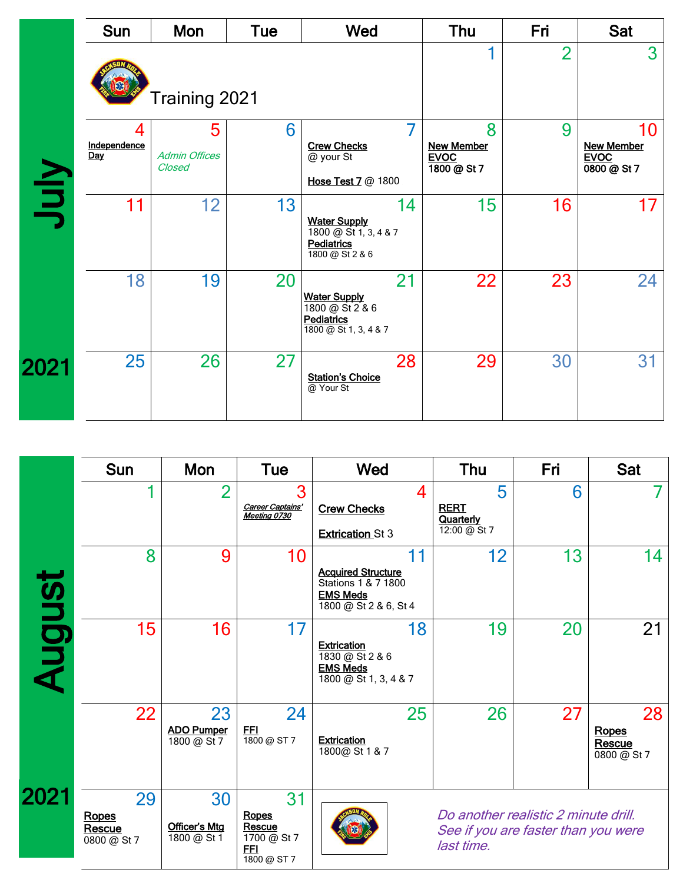|      | <b>Sun</b>               | Mon                                 | Tue | Wed                                                                                                   | Thu                                                  | Fri | <b>Sat</b>                                            |
|------|--------------------------|-------------------------------------|-----|-------------------------------------------------------------------------------------------------------|------------------------------------------------------|-----|-------------------------------------------------------|
|      |                          | Training 2021                       |     |                                                                                                       | 2                                                    | 3   |                                                       |
| Nul  | 4<br>Independence<br>Day | 5<br><b>Admin Offices</b><br>Closed | 6   | <b>Crew Checks</b><br>@ your St<br>Hose Test 7 @ 1800                                                 | 8<br><b>New Member</b><br><b>EVOC</b><br>1800 @ St 7 | 9   | 10<br><b>New Member</b><br><b>EVOC</b><br>0800 @ St 7 |
|      | 11                       | 12                                  | 13  | 14<br><b>Water Supply</b><br>1800 @ St 1, 3, 4 & 7<br><b>Pediatrics</b><br>$\frac{1800}{28}$ St 2 & 6 | 15                                                   | 16  | 17                                                    |
|      | 18                       | 19                                  | 20  | 21<br><b>Water Supply</b><br>1800 @ St 2 & 6<br>Pediatrics<br>1800 @ St 1, 3, 4 & 7                   | 22                                                   | 23  | 24                                                    |
| 2021 | 25                       | 26                                  | 27  | 28<br><b>Station's Choice</b><br>@ Your St                                                            | 29                                                   | 30  | 31                                                    |

|        | <b>Sun</b>                           | Mon                                      | <b>Tue</b>                                                       | Wed                                                                                          |    | Thu                                                                                       | Fri | <b>Sat</b>                           |
|--------|--------------------------------------|------------------------------------------|------------------------------------------------------------------|----------------------------------------------------------------------------------------------|----|-------------------------------------------------------------------------------------------|-----|--------------------------------------|
|        |                                      | $\overline{2}$                           | 3<br>Career Captains'<br>Meeting 0730                            | <b>Crew Checks</b><br><b>Extrication St 3</b>                                                | 4  | 5<br><b>RERT</b><br>Quarterly<br>12:00 @ St 7                                             | 6   |                                      |
|        | 8                                    | 9                                        | 10                                                               | <b>Acquired Structure</b><br>Stations 1 & 7 1800<br><b>EMS Meds</b><br>1800 @ St 2 & 6, St 4 | 11 | 12                                                                                        | 13  | 14                                   |
| August | 15                                   | 16                                       | 17                                                               | <b>Extrication</b><br>1830 @ St 2 & 6<br><b>EMS Meds</b><br>1800 @ St 1, 3, 4 & 7            | 18 | 19                                                                                        | 20  | 21                                   |
|        | 22                                   | 23<br><b>ADO Pumper</b><br>$1800 @$ St 7 | 24<br>FFI<br>1800 @ ST 7                                         | <b>Extrication</b><br>1800@ St 1 & 7                                                         | 25 | 26                                                                                        | 27  | 28<br>Ropes<br>Rescue<br>0800 @ St 7 |
| 2021   | 29<br>Ropes<br>Rescue<br>0800 @ St 7 | 30<br>Officer's Mtg<br>1800 @ St 1       | 31<br>Ropes<br>Rescue<br>1700 @ St 7<br><u>FFI</u><br>1800 @ ST7 |                                                                                              |    | Do another realistic 2 minute drill.<br>See if you are faster than you were<br>last time. |     |                                      |
|        |                                      |                                          |                                                                  |                                                                                              |    |                                                                                           |     |                                      |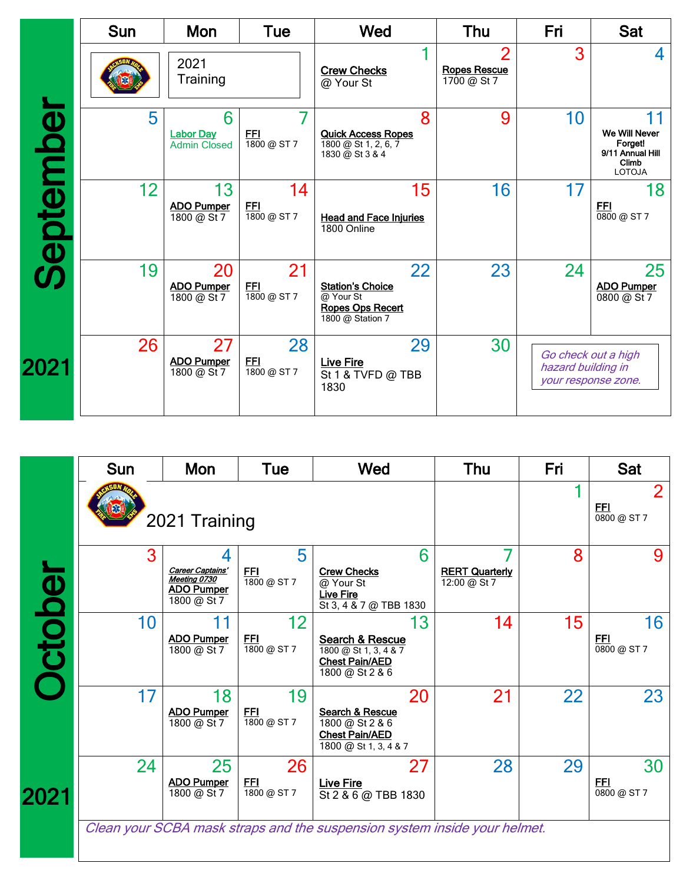|           | <b>Sun</b> | <b>Mon</b>                                   | <b>Tue</b>                      | Wed                                                                                       | Thu                                                  | Fri                                                              | <b>Sat</b>                                                             |
|-----------|------------|----------------------------------------------|---------------------------------|-------------------------------------------------------------------------------------------|------------------------------------------------------|------------------------------------------------------------------|------------------------------------------------------------------------|
|           |            | 2021<br>Training                             |                                 | <b>Crew Checks</b><br>@ Your St                                                           | $\overline{2}$<br><b>Ropes Rescue</b><br>1700 @ St 7 | 3                                                                | 4                                                                      |
|           | 5          | 6<br><b>Labor Day</b><br><b>Admin Closed</b> | <u>FFI</u><br>1800 @ ST7        | 8<br><b>Quick Access Ropes</b><br>1800 @ St 1, 2, 6, 7<br>1830 @ St 3 & 4                 | 9                                                    | 10                                                               | We Will Never<br>Forget!<br>9/11 Annual Hill<br>Climb<br><b>LOTOJA</b> |
| September | 12         | 13<br><b>ADO Pumper</b><br>1800 @ St 7       | 14<br><u>FFI</u><br>1800 @ ST7  | 15<br><b>Head and Face Injuries</b><br>1800 Online                                        | 16                                                   | 17                                                               | 18<br><b>FFI</b><br>0800 @ ST7                                         |
|           | 19         | 20<br><b>ADO Pumper</b><br>1800 @ St 7       | 21<br><u>FFI</u><br>1800 @ ST 7 | 22<br><b>Station's Choice</b><br>@ Your St<br><b>Ropes Ops Recert</b><br>1800 @ Station 7 | 23                                                   | 24                                                               | 25<br><b>ADO Pumper</b><br>0800 @ St 7                                 |
| 2021      | 26         | 27<br><b>ADO Pumper</b><br>1800 @ St 7       | 28<br><u>FFI</u><br>1800 @ ST7  | 29<br><b>Live Fire</b><br>St 1 & TVFD @ TBB<br>1830                                       | 30                                                   | Go check out a high<br>hazard building in<br>your response zone. |                                                                        |
|           |            |                                              |                                 |                                                                                           |                                                      |                                                                  |                                                                        |

|        | <b>Sun</b> | Mon                                                                  | Tue                            | Wed                                                                                        | Thu                                   | Fri | <b>Sat</b>                    |
|--------|------------|----------------------------------------------------------------------|--------------------------------|--------------------------------------------------------------------------------------------|---------------------------------------|-----|-------------------------------|
|        |            | 2021 Training                                                        |                                |                                                                                            |                                       |     | 2<br><b>FFI</b><br>0800 @ ST7 |
|        | 3          | Career Captains'<br>Meeting 0730<br><b>ADO Pumper</b><br>1800 @ St 7 | 5<br><u>FFI</u><br>1800 @ ST7  | 6<br><b>Crew Checks</b><br>@ Your St<br><b>Live Fire</b><br>St 3, 4 & 7 @ TBB 1830         | <b>RERT Quarterly</b><br>12:00 @ St 7 | 8   | 9                             |
| ctober | 10         | <b>ADO Pumper</b><br>1800 @ St 7                                     | 12<br><b>FFI</b><br>1800 @ ST7 | 13<br>Search & Rescue<br>1800 @ St 1, 3, 4 & 7<br><b>Chest Pain/AED</b><br>1800 @ St 2 & 6 | 14                                    | 15  | 16<br>FFI<br>0800 @ ST7       |
|        | 17         | 18<br><b>ADO Pumper</b><br>1800 @ St 7                               | 19<br><u>FFI</u><br>1800 @ ST7 | 20<br>Search & Rescue<br>1800 @ St 2 & 6<br><b>Chest Pain/AED</b><br>1800 @ St 1, 3, 4 & 7 | 21                                    | 22  | 23                            |
| 2021   | 24         | 25<br><b>ADO Pumper</b><br>1800 @ St 7                               | 26<br>FFI<br>1800 @ ST7        | 27<br><b>Live Fire</b><br>St 2 & 6 @ TBB 1830                                              | 28                                    | 29  | 30<br>FFI<br>0800 @ ST7       |
|        |            |                                                                      |                                | Clean your SCBA mask straps and the suspension system inside your helmet.                  |                                       |     |                               |
|        |            |                                                                      |                                |                                                                                            |                                       |     |                               |